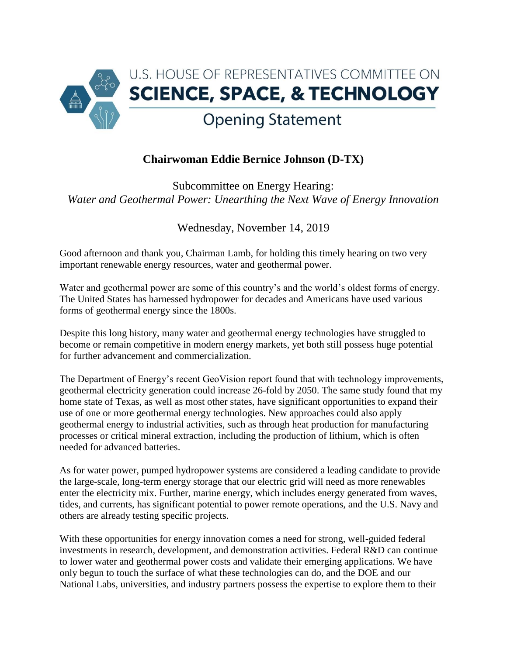

## **Chairwoman Eddie Bernice Johnson (D-TX)**

Subcommittee on Energy Hearing: *Water and Geothermal Power: Unearthing the Next Wave of Energy Innovation*

Wednesday, November 14, 2019

Good afternoon and thank you, Chairman Lamb, for holding this timely hearing on two very important renewable energy resources, water and geothermal power.

Water and geothermal power are some of this country's and the world's oldest forms of energy. The United States has harnessed hydropower for decades and Americans have used various forms of geothermal energy since the 1800s.

Despite this long history, many water and geothermal energy technologies have struggled to become or remain competitive in modern energy markets, yet both still possess huge potential for further advancement and commercialization.

The Department of Energy's recent GeoVision report found that with technology improvements, geothermal electricity generation could increase 26-fold by 2050. The same study found that my home state of Texas, as well as most other states, have significant opportunities to expand their use of one or more geothermal energy technologies. New approaches could also apply geothermal energy to industrial activities, such as through heat production for manufacturing processes or critical mineral extraction, including the production of lithium, which is often needed for advanced batteries.

As for water power, pumped hydropower systems are considered a leading candidate to provide the large-scale, long-term energy storage that our electric grid will need as more renewables enter the electricity mix. Further, marine energy, which includes energy generated from waves, tides, and currents, has significant potential to power remote operations, and the U.S. Navy and others are already testing specific projects.

With these opportunities for energy innovation comes a need for strong, well-guided federal investments in research, development, and demonstration activities. Federal R&D can continue to lower water and geothermal power costs and validate their emerging applications. We have only begun to touch the surface of what these technologies can do, and the DOE and our National Labs, universities, and industry partners possess the expertise to explore them to their